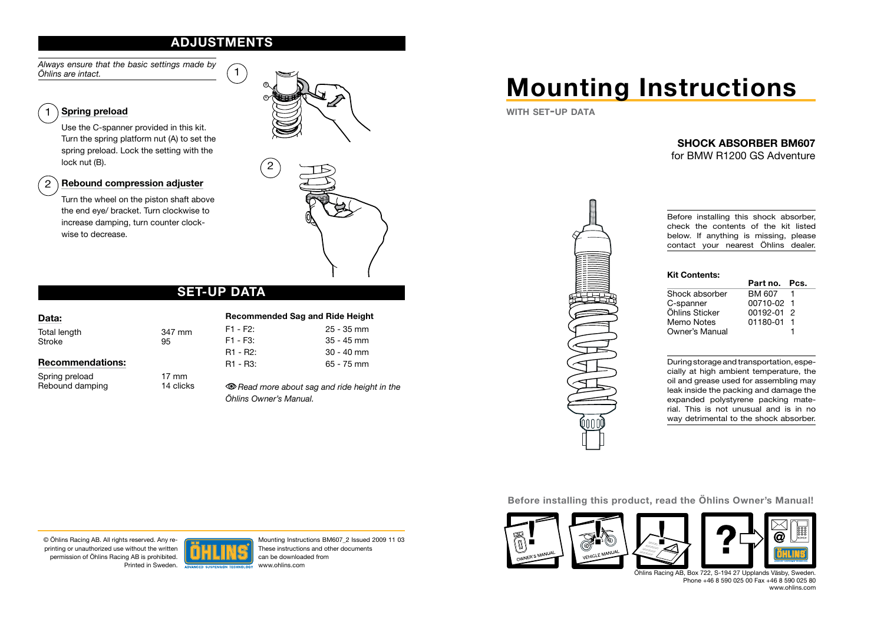# **ADJUSTMENTS**

*Always ensure that the basic settings made by Öhlins are intact.*

#### Spring preload 1

Use the C-spanner provided in this kit. Turn the spring platform nut (A) to set the spring preload. Lock the setting with the lock nut (B).

#### Rebound compression adjuster  $2^{\circ}$

Turn the wheel on the piston shaft above the end eye/ bracket. Turn clockwise to increase damping, turn counter clockwise to decrease.





# **SET-UP DATA**

| Data:                   |              |
|-------------------------|--------------|
| Total length<br>Stroke  | 347 mm<br>95 |
| <b>Recommendations:</b> |              |

Spring preload 17 mm<br>Rebound damping 14 clicks Rebound damping

#### Recommended Sag and Ride Height F1 - F2: 25 - 35 mm F1 - F3: 35 - 45 mm R1 - R2: 30 - 40 mm R1 - R3: 65 - 75 mm

*Read more about sag and ride height in the Öhlins Owner's Manual.*

# Mounting Instructions

WITH SET-UP DATA

# SHOCK ABSORBER BM607

for BMW R1200 GS Adventure



Before installing this shock absorber, check the contents of the kit listed below. If anything is missing, please contact your nearest Öhlins dealer.

## Kit Contents:

|                | Part no. Pcs.  |  |
|----------------|----------------|--|
| Shock absorber | BM 607         |  |
| C-spanner      | 00710-02 1     |  |
| Öhlins Sticker | $00192 - 01$ 2 |  |
| Memo Notes     | 01180-01 1     |  |
| Owner's Manual |                |  |

During storage and transportation, especially at high ambient temperature, the oil and grease used for assembling may leak inside the packing and damage the expanded polystyrene packing material. This is not unusual and is in no way detrimental to the shock absorber.

#### Before installing this product, read the Öhlins Owner's Manual!



Öhlins Racing AB, Box 722, S-194 27 Upplands Väsby, Sweden. Phone +46 8 590 025 00 Fax +46 8 590 025 80 www.ohlins.com

© Öhlins Racing AB. All rights reserved. Any reprinting or unauthorized use without the written permission of Öhlins Racing AB is prohibited. Printed in Sweden.



Mounting Instructions BM607\_2 Issued 2009 11 03 These instructions and other documents can be downloaded from www.ohlins.com